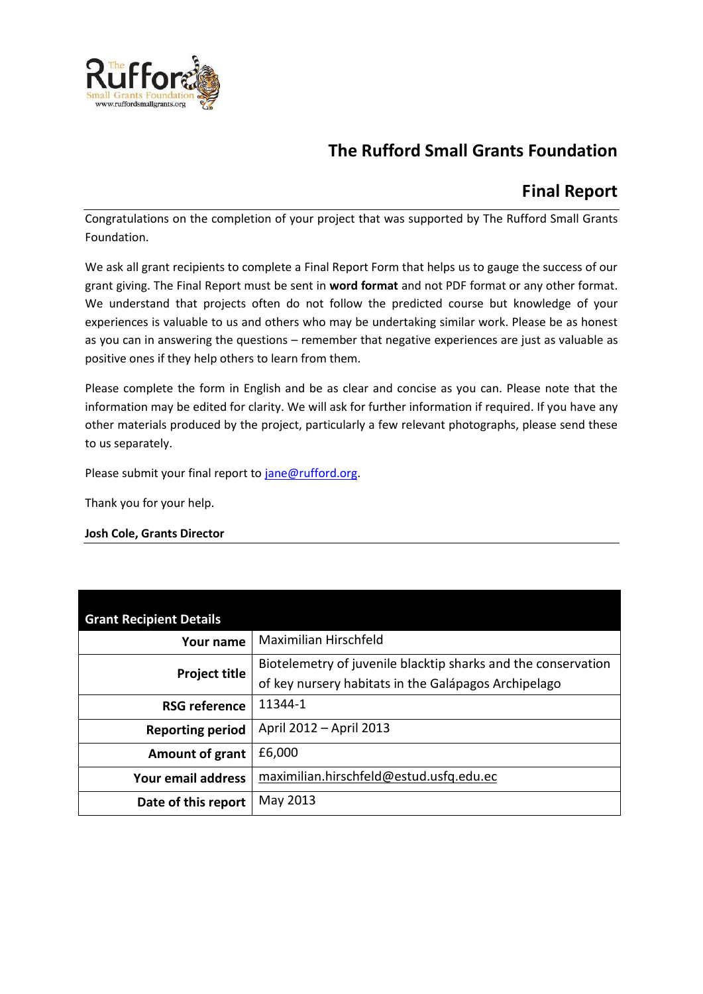

# **The Rufford Small Grants Foundation**

## **Final Report**

Congratulations on the completion of your project that was supported by The Rufford Small Grants Foundation.

We ask all grant recipients to complete a Final Report Form that helps us to gauge the success of our grant giving. The Final Report must be sent in **word format** and not PDF format or any other format. We understand that projects often do not follow the predicted course but knowledge of your experiences is valuable to us and others who may be undertaking similar work. Please be as honest as you can in answering the questions – remember that negative experiences are just as valuable as positive ones if they help others to learn from them.

Please complete the form in English and be as clear and concise as you can. Please note that the information may be edited for clarity. We will ask for further information if required. If you have any other materials produced by the project, particularly a few relevant photographs, please send these to us separately.

Please submit your final report to [jane@rufford.org.](mailto:jane@rufford.org)

Thank you for your help.

#### **Josh Cole, Grants Director**

| <b>Grant Recipient Details</b> |                                                                                                                       |  |  |  |  |  |
|--------------------------------|-----------------------------------------------------------------------------------------------------------------------|--|--|--|--|--|
| Your name                      | Maximilian Hirschfeld                                                                                                 |  |  |  |  |  |
| <b>Project title</b>           | Biotelemetry of juvenile blacktip sharks and the conservation<br>of key nursery habitats in the Galápagos Archipelago |  |  |  |  |  |
| <b>RSG reference</b>           | 11344-1                                                                                                               |  |  |  |  |  |
| <b>Reporting period</b>        | April 2012 - April 2013                                                                                               |  |  |  |  |  |
| Amount of grant                | £6,000                                                                                                                |  |  |  |  |  |
| Your email address             | maximilian.hirschfeld@estud.usfq.edu.ec                                                                               |  |  |  |  |  |
| Date of this report            | May 2013                                                                                                              |  |  |  |  |  |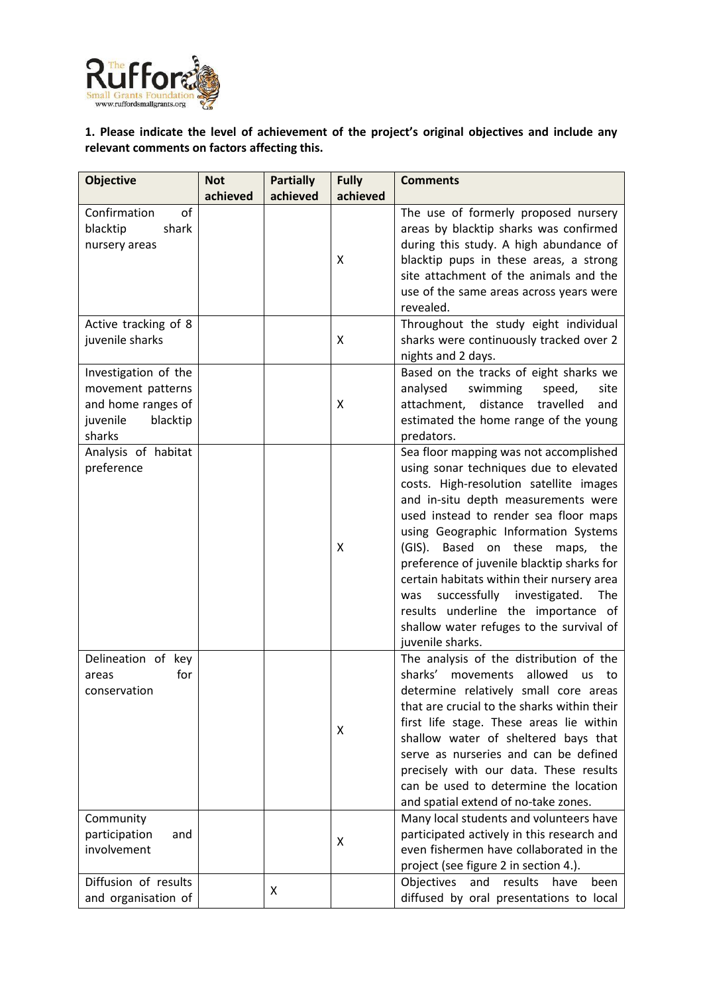

**1. Please indicate the level of achievement of the project's original objectives and include any relevant comments on factors affecting this.** 

| <b>Objective</b>                                                                                  | <b>Not</b> | <b>Partially</b> | <b>Fully</b> | <b>Comments</b>                                                                                                                                                                                                                                                                                                                                                                                                                                                                                                                                       |
|---------------------------------------------------------------------------------------------------|------------|------------------|--------------|-------------------------------------------------------------------------------------------------------------------------------------------------------------------------------------------------------------------------------------------------------------------------------------------------------------------------------------------------------------------------------------------------------------------------------------------------------------------------------------------------------------------------------------------------------|
|                                                                                                   | achieved   | achieved         | achieved     |                                                                                                                                                                                                                                                                                                                                                                                                                                                                                                                                                       |
| of<br>Confirmation<br>shark<br>blacktip<br>nursery areas                                          |            |                  | X            | The use of formerly proposed nursery<br>areas by blacktip sharks was confirmed<br>during this study. A high abundance of<br>blacktip pups in these areas, a strong<br>site attachment of the animals and the<br>use of the same areas across years were<br>revealed.                                                                                                                                                                                                                                                                                  |
| Active tracking of 8<br>juvenile sharks                                                           |            |                  | X            | Throughout the study eight individual<br>sharks were continuously tracked over 2<br>nights and 2 days.                                                                                                                                                                                                                                                                                                                                                                                                                                                |
| Investigation of the<br>movement patterns<br>and home ranges of<br>juvenile<br>blacktip<br>sharks |            |                  | X            | Based on the tracks of eight sharks we<br>analysed<br>swimming<br>site<br>speed,<br>attachment,<br>distance<br>travelled<br>and<br>estimated the home range of the young<br>predators.                                                                                                                                                                                                                                                                                                                                                                |
| Analysis of habitat<br>preference                                                                 |            |                  | X            | Sea floor mapping was not accomplished<br>using sonar techniques due to elevated<br>costs. High-resolution satellite images<br>and in-situ depth measurements were<br>used instead to render sea floor maps<br>using Geographic Information Systems<br>Based on these maps, the<br>$(GIS)$ .<br>preference of juvenile blacktip sharks for<br>certain habitats within their nursery area<br>successfully<br>investigated.<br><b>The</b><br>was<br>results underline the importance of<br>shallow water refuges to the survival of<br>juvenile sharks. |
| Delineation of key<br>for<br>areas<br>conservation                                                |            |                  | X            | The analysis of the distribution of the<br>sharks'<br>movements<br>allowed<br><b>us</b><br>to<br>determine relatively small core areas<br>that are crucial to the sharks within their<br>first life stage. These areas lie within<br>shallow water of sheltered bays that<br>serve as nurseries and can be defined<br>precisely with our data. These results<br>can be used to determine the location<br>and spatial extend of no-take zones.                                                                                                         |
| Community<br>participation<br>and<br>involvement                                                  |            |                  | X            | Many local students and volunteers have<br>participated actively in this research and<br>even fishermen have collaborated in the<br>project (see figure 2 in section 4.).                                                                                                                                                                                                                                                                                                                                                                             |
| Diffusion of results<br>and organisation of                                                       |            | X                |              | Objectives<br>and<br>results<br>been<br>have<br>diffused by oral presentations to local                                                                                                                                                                                                                                                                                                                                                                                                                                                               |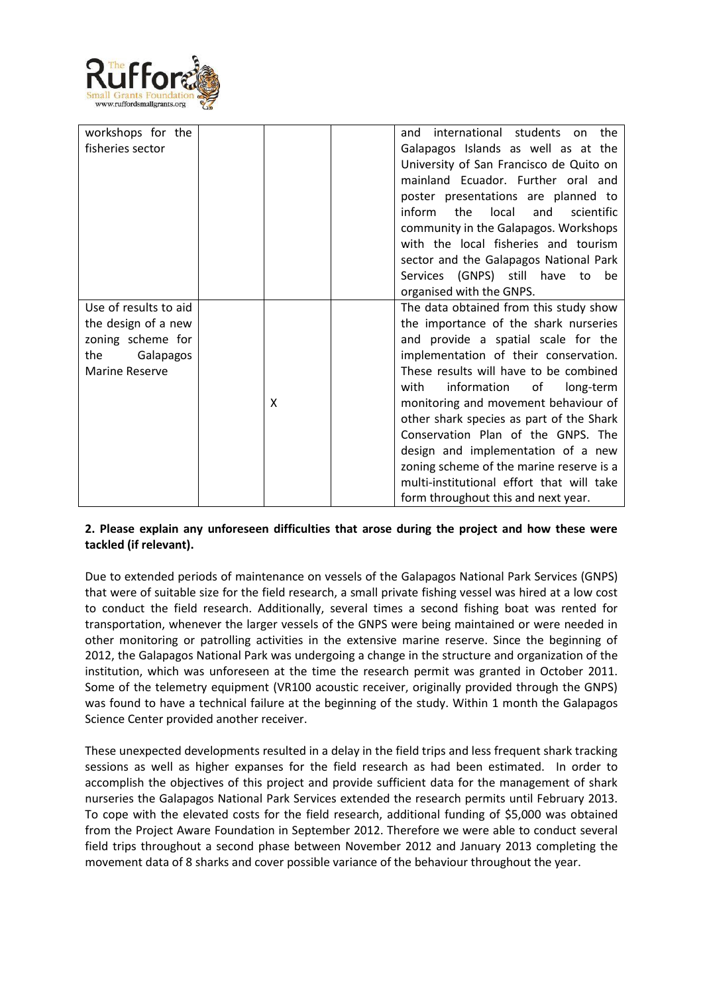

| workshops for the     |   | international students on the<br>and        |
|-----------------------|---|---------------------------------------------|
| fisheries sector      |   | Galapagos Islands as well as at the         |
|                       |   | University of San Francisco de Quito on     |
|                       |   | mainland Ecuador. Further oral and          |
|                       |   | poster presentations are planned to         |
|                       |   | inform<br>the<br>local<br>and<br>scientific |
|                       |   | community in the Galapagos. Workshops       |
|                       |   | with the local fisheries and tourism        |
|                       |   | sector and the Galapagos National Park      |
|                       |   | Services (GNPS) still have to be            |
|                       |   | organised with the GNPS.                    |
| Use of results to aid |   | The data obtained from this study show      |
| the design of a new   |   | the importance of the shark nurseries       |
| zoning scheme for     |   | and provide a spatial scale for the         |
| Galapagos<br>the      |   | implementation of their conservation.       |
| <b>Marine Reserve</b> |   | These results will have to be combined      |
|                       |   | with<br>information of<br>long-term         |
|                       | X | monitoring and movement behaviour of        |
|                       |   | other shark species as part of the Shark    |
|                       |   | Conservation Plan of the GNPS. The          |
|                       |   | design and implementation of a new          |
|                       |   | zoning scheme of the marine reserve is a    |
|                       |   | multi-institutional effort that will take   |
|                       |   | form throughout this and next year.         |

## **2. Please explain any unforeseen difficulties that arose during the project and how these were tackled (if relevant).**

Due to extended periods of maintenance on vessels of the Galapagos National Park Services (GNPS) that were of suitable size for the field research, a small private fishing vessel was hired at a low cost to conduct the field research. Additionally, several times a second fishing boat was rented for transportation, whenever the larger vessels of the GNPS were being maintained or were needed in other monitoring or patrolling activities in the extensive marine reserve. Since the beginning of 2012, the Galapagos National Park was undergoing a change in the structure and organization of the institution, which was unforeseen at the time the research permit was granted in October 2011. Some of the telemetry equipment (VR100 acoustic receiver, originally provided through the GNPS) was found to have a technical failure at the beginning of the study. Within 1 month the Galapagos Science Center provided another receiver.

These unexpected developments resulted in a delay in the field trips and less frequent shark tracking sessions as well as higher expanses for the field research as had been estimated. In order to accomplish the objectives of this project and provide sufficient data for the management of shark nurseries the Galapagos National Park Services extended the research permits until February 2013. To cope with the elevated costs for the field research, additional funding of \$5,000 was obtained from the Project Aware Foundation in September 2012. Therefore we were able to conduct several field trips throughout a second phase between November 2012 and January 2013 completing the movement data of 8 sharks and cover possible variance of the behaviour throughout the year.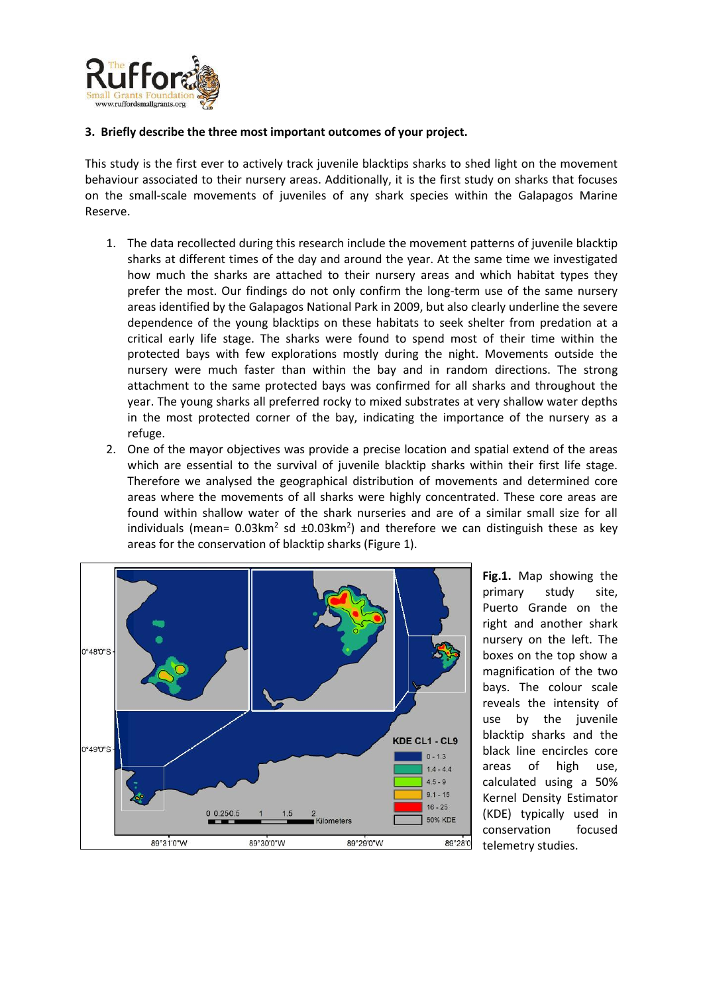

#### **3. Briefly describe the three most important outcomes of your project.**

This study is the first ever to actively track juvenile blacktips sharks to shed light on the movement behaviour associated to their nursery areas. Additionally, it is the first study on sharks that focuses on the small-scale movements of juveniles of any shark species within the Galapagos Marine Reserve.

- 1. The data recollected during this research include the movement patterns of juvenile blacktip sharks at different times of the day and around the year. At the same time we investigated how much the sharks are attached to their nursery areas and which habitat types they prefer the most. Our findings do not only confirm the long-term use of the same nursery areas identified by the Galapagos National Park in 2009, but also clearly underline the severe dependence of the young blacktips on these habitats to seek shelter from predation at a critical early life stage. The sharks were found to spend most of their time within the protected bays with few explorations mostly during the night. Movements outside the nursery were much faster than within the bay and in random directions. The strong attachment to the same protected bays was confirmed for all sharks and throughout the year. The young sharks all preferred rocky to mixed substrates at very shallow water depths in the most protected corner of the bay, indicating the importance of the nursery as a refuge.
- 2. One of the mayor objectives was provide a precise location and spatial extend of the areas which are essential to the survival of juvenile blacktip sharks within their first life stage. Therefore we analysed the geographical distribution of movements and determined core areas where the movements of all sharks were highly concentrated. These core areas are found within shallow water of the shark nurseries and are of a similar small size for all individuals (mean=  $0.03$ km<sup>2</sup> sd  $\pm 0.03$ km<sup>2</sup>) and therefore we can distinguish these as key areas for the conservation of blacktip sharks (Figure 1).



**Fig.1.** Map showing the primary study site, Puerto Grande on the right and another shark nursery on the left. The boxes on the top show a magnification of the two bays. The colour scale reveals the intensity of use by the juvenile blacktip sharks and the black line encircles core areas of high use, calculated using a 50% Kernel Density Estimator (KDE) typically used in conservation focused telemetry studies.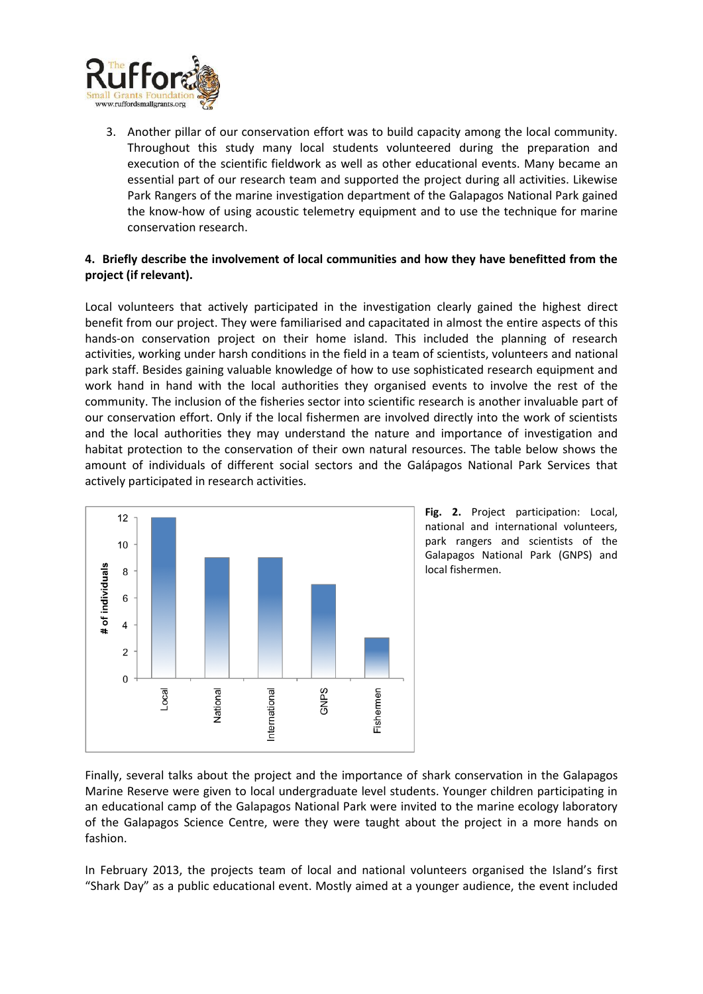

3. Another pillar of our conservation effort was to build capacity among the local community. Throughout this study many local students volunteered during the preparation and execution of the scientific fieldwork as well as other educational events. Many became an essential part of our research team and supported the project during all activities. Likewise Park Rangers of the marine investigation department of the Galapagos National Park gained the know-how of using acoustic telemetry equipment and to use the technique for marine conservation research.

## **4. Briefly describe the involvement of local communities and how they have benefitted from the project (if relevant).**

Local volunteers that actively participated in the investigation clearly gained the highest direct benefit from our project. They were familiarised and capacitated in almost the entire aspects of this hands-on conservation project on their home island. This included the planning of research activities, working under harsh conditions in the field in a team of scientists, volunteers and national park staff. Besides gaining valuable knowledge of how to use sophisticated research equipment and work hand in hand with the local authorities they organised events to involve the rest of the community. The inclusion of the fisheries sector into scientific research is another invaluable part of our conservation effort. Only if the local fishermen are involved directly into the work of scientists and the local authorities they may understand the nature and importance of investigation and habitat protection to the conservation of their own natural resources. The table below shows the amount of individuals of different social sectors and the Galápagos National Park Services that actively participated in research activities.



**Fig. 2.** Project participation: Local, national and international volunteers, park rangers and scientists of the Galapagos National Park (GNPS) and local fishermen.

Finally, several talks about the project and the importance of shark conservation in the Galapagos Marine Reserve were given to local undergraduate level students. Younger children participating in an educational camp of the Galapagos National Park were invited to the marine ecology laboratory of the Galapagos Science Centre, were they were taught about the project in a more hands on fashion.

In February 2013, the projects team of local and national volunteers organised the Island's first "Shark Day" as a public educational event. Mostly aimed at a younger audience, the event included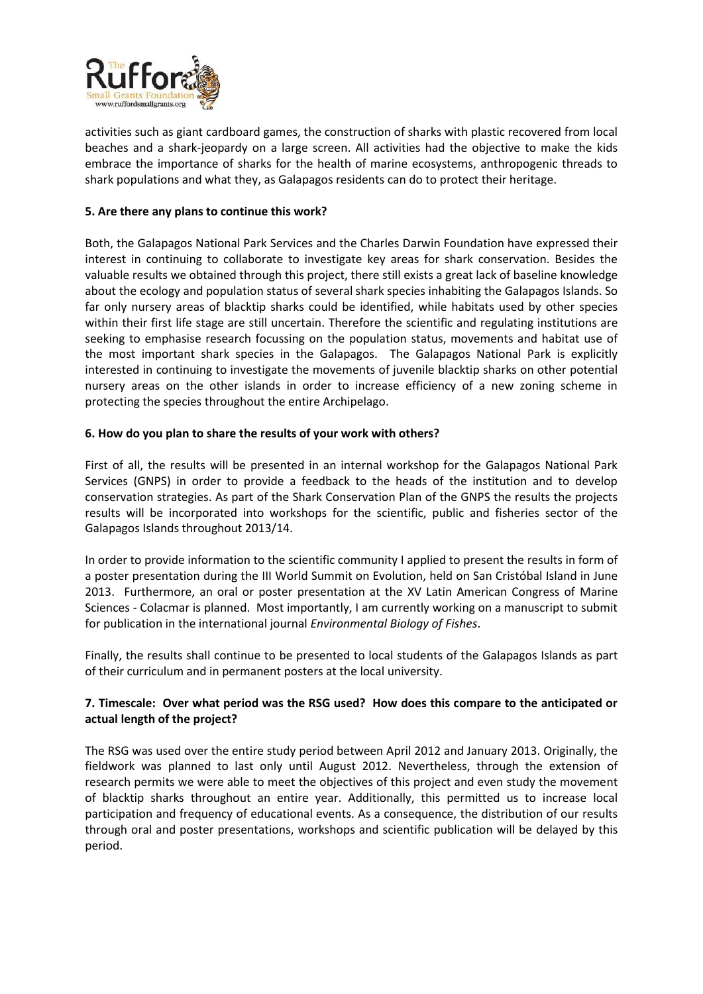

activities such as giant cardboard games, the construction of sharks with plastic recovered from local beaches and a shark-jeopardy on a large screen. All activities had the objective to make the kids embrace the importance of sharks for the health of marine ecosystems, anthropogenic threads to shark populations and what they, as Galapagos residents can do to protect their heritage.

#### **5. Are there any plans to continue this work?**

Both, the Galapagos National Park Services and the Charles Darwin Foundation have expressed their interest in continuing to collaborate to investigate key areas for shark conservation. Besides the valuable results we obtained through this project, there still exists a great lack of baseline knowledge about the ecology and population status of several shark species inhabiting the Galapagos Islands. So far only nursery areas of blacktip sharks could be identified, while habitats used by other species within their first life stage are still uncertain. Therefore the scientific and regulating institutions are seeking to emphasise research focussing on the population status, movements and habitat use of the most important shark species in the Galapagos. The Galapagos National Park is explicitly interested in continuing to investigate the movements of juvenile blacktip sharks on other potential nursery areas on the other islands in order to increase efficiency of a new zoning scheme in protecting the species throughout the entire Archipelago.

#### **6. How do you plan to share the results of your work with others?**

First of all, the results will be presented in an internal workshop for the Galapagos National Park Services (GNPS) in order to provide a feedback to the heads of the institution and to develop conservation strategies. As part of the Shark Conservation Plan of the GNPS the results the projects results will be incorporated into workshops for the scientific, public and fisheries sector of the Galapagos Islands throughout 2013/14.

In order to provide information to the scientific community I applied to present the results in form of a poster presentation during the III World Summit on Evolution, held on San Cristóbal Island in June 2013. Furthermore, an oral or poster presentation at the XV Latin American Congress of Marine Sciences - Colacmar is planned. Most importantly, I am currently working on a manuscript to submit for publication in the international journal *Environmental Biology of Fishes*.

Finally, the results shall continue to be presented to local students of the Galapagos Islands as part of their curriculum and in permanent posters at the local university.

## **7. Timescale: Over what period was the RSG used? How does this compare to the anticipated or actual length of the project?**

The RSG was used over the entire study period between April 2012 and January 2013. Originally, the fieldwork was planned to last only until August 2012. Nevertheless, through the extension of research permits we were able to meet the objectives of this project and even study the movement of blacktip sharks throughout an entire year. Additionally, this permitted us to increase local participation and frequency of educational events. As a consequence, the distribution of our results through oral and poster presentations, workshops and scientific publication will be delayed by this period.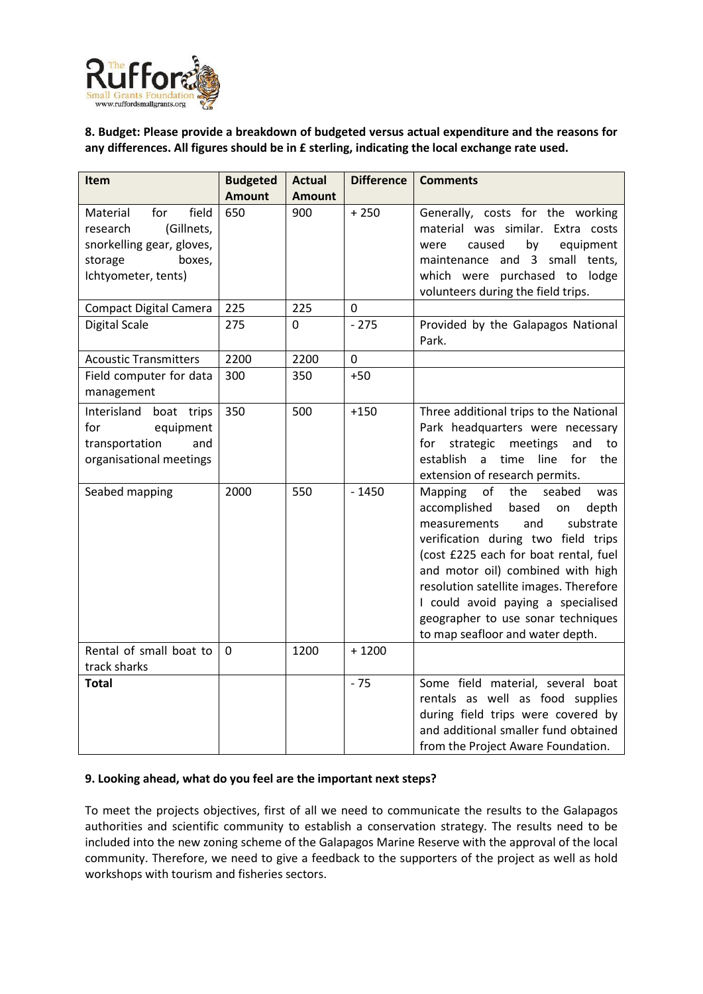

**8. Budget: Please provide a breakdown of budgeted versus actual expenditure and the reasons for any differences. All figures should be in £ sterling, indicating the local exchange rate used.** 

| <b>Item</b>                                                                                                                 | <b>Budgeted</b> | <b>Actual</b> | <b>Difference</b> | <b>Comments</b>                                                                                                                                                                                                                                                                                                                                                                                  |
|-----------------------------------------------------------------------------------------------------------------------------|-----------------|---------------|-------------------|--------------------------------------------------------------------------------------------------------------------------------------------------------------------------------------------------------------------------------------------------------------------------------------------------------------------------------------------------------------------------------------------------|
|                                                                                                                             | <b>Amount</b>   | <b>Amount</b> |                   |                                                                                                                                                                                                                                                                                                                                                                                                  |
| field<br>Material<br>for<br>(Gillnets,<br>research<br>snorkelling gear, gloves,<br>boxes,<br>storage<br>Ichtyometer, tents) | 650             | 900           | $+250$            | Generally, costs for the working<br>material was similar. Extra costs<br>caused<br>by<br>equipment<br>were<br>maintenance and 3 small tents,<br>which were purchased to<br>lodge<br>volunteers during the field trips.                                                                                                                                                                           |
| <b>Compact Digital Camera</b>                                                                                               | 225             | 225           | $\mathbf 0$       |                                                                                                                                                                                                                                                                                                                                                                                                  |
| <b>Digital Scale</b>                                                                                                        | 275             | $\mathbf 0$   | $-275$            | Provided by the Galapagos National<br>Park.                                                                                                                                                                                                                                                                                                                                                      |
| <b>Acoustic Transmitters</b>                                                                                                | 2200            | 2200          | $\mathbf 0$       |                                                                                                                                                                                                                                                                                                                                                                                                  |
| Field computer for data<br>management                                                                                       | 300             | 350           | $+50$             |                                                                                                                                                                                                                                                                                                                                                                                                  |
| Interisland boat trips<br>for<br>equipment<br>transportation<br>and<br>organisational meetings                              | 350             | 500           | $+150$            | Three additional trips to the National<br>Park headquarters were necessary<br>strategic<br>meetings<br>and<br>for<br>to<br>establish<br>time<br>a<br>line<br>for<br>the<br>extension of research permits.                                                                                                                                                                                        |
| Seabed mapping                                                                                                              | 2000            | 550           | $-1450$           | the<br>Mapping<br>of<br>seabed<br>was<br>accomplished<br>based<br>depth<br>on<br>measurements<br>substrate<br>and<br>verification during two field trips<br>(cost £225 each for boat rental, fuel<br>and motor oil) combined with high<br>resolution satellite images. Therefore<br>I could avoid paying a specialised<br>geographer to use sonar techniques<br>to map seafloor and water depth. |
| Rental of small boat to<br>track sharks                                                                                     | $\mathbf 0$     | 1200          | $+1200$           |                                                                                                                                                                                                                                                                                                                                                                                                  |
| <b>Total</b>                                                                                                                |                 |               | $-75$             | Some field material, several boat<br>rentals as well as food supplies<br>during field trips were covered by<br>and additional smaller fund obtained<br>from the Project Aware Foundation.                                                                                                                                                                                                        |

#### **9. Looking ahead, what do you feel are the important next steps?**

To meet the projects objectives, first of all we need to communicate the results to the Galapagos authorities and scientific community to establish a conservation strategy. The results need to be included into the new zoning scheme of the Galapagos Marine Reserve with the approval of the local community. Therefore, we need to give a feedback to the supporters of the project as well as hold workshops with tourism and fisheries sectors.